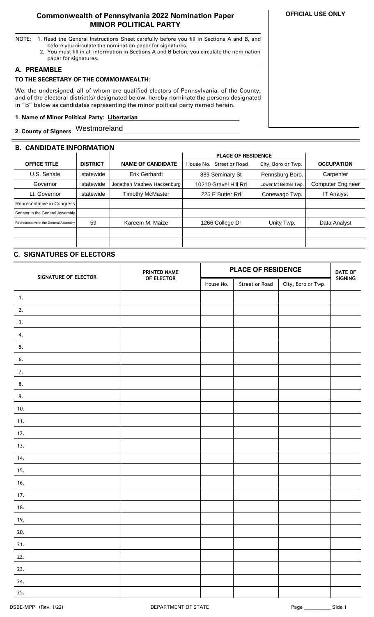#### **Commonwealth of Pennsylvania 2022 Nomination Paper MINOR POLITICAL PARTY**

- NOTE: 1. Read the General Instructions Sheet carefully before you fill in Sections A and B, and before you circulate the nomination paper for signatures.
	- 2. You must fill in all information in Sections A and B before you circulate the nomination paper for signatures.

### **A. PREAMBLE**

# **TO THE SECRETARY OF THE COMMONWEALTH:**

We, the undersigned, all of whom are qualified electors of Pennsylvania, of the County, and of the electoral district(s) designated below, hereby nominate the persons designated in "B" below as candidates representing the minor political party named herein.

### **1. Name of Minor Political Party: Libertarian ..**

2. County of Signers Westmoreland **Manual Manual Structure of Signers** Mestmoreland

| <b>B. CANDIDATE INFORMATION</b>        |                 |                             |                           |                      |                          |
|----------------------------------------|-----------------|-----------------------------|---------------------------|----------------------|--------------------------|
|                                        |                 |                             | <b>PLACE OF RESIDENCE</b> |                      |                          |
| <b>OFFICE TITLE</b>                    | <b>DISTRICT</b> | <b>NAME OF CANDIDATE</b>    | House No. Street or Road  | City, Boro or Twp.   | <b>OCCUPATION</b>        |
| U.S. Senate                            | statewide       | <b>Erik Gerhardt</b>        | 889 Seminary St           | Pennsburg Boro.      | Carpenter                |
| Governor                               | statewide       | Jonathan Matthew Hackenburg | 10210 Gravel Hill Rd      | Lower Mt Bethel Twp. | <b>Computer Engineer</b> |
| Lt. Governor                           | statewide       | <b>Timothy McMaster</b>     | 225 E Butter Rd           | Conewago Twp.        | <b>IT Analyst</b>        |
| Representative in Congress             |                 |                             |                           |                      |                          |
| Senator in the General Assembly        |                 |                             |                           |                      |                          |
| Representative in the General Assembly | 59              | Kareem M. Maize             | 1266 College Dr           | Unity Twp.           | Data Analyst             |
|                                        |                 |                             |                           |                      |                          |
|                                        |                 |                             |                           |                      |                          |

## **C. SIGNATURES OF ELECTORS**

| SIGNATURE OF ELECTOR | PRINTED NAME |           | <b>PLACE OF RESIDENCE</b> |                    | <b>DATE OF</b> |
|----------------------|--------------|-----------|---------------------------|--------------------|----------------|
|                      | OF ELECTOR   | House No. | Street or Road            | City, Boro or Twp. | SIGNING        |
| $\mathbf{1}$ .       |              |           |                           |                    |                |
| 2.                   |              |           |                           |                    |                |
| 3.                   |              |           |                           |                    |                |
| 4.                   |              |           |                           |                    |                |
| 5.                   |              |           |                           |                    |                |
| 6.                   |              |           |                           |                    |                |
| 7.                   |              |           |                           |                    |                |
| 8.                   |              |           |                           |                    |                |
| 9.                   |              |           |                           |                    |                |
| 10.                  |              |           |                           |                    |                |
| 11.                  |              |           |                           |                    |                |
| 12.                  |              |           |                           |                    |                |
| 13.                  |              |           |                           |                    |                |
| 14.                  |              |           |                           |                    |                |
| 15.                  |              |           |                           |                    |                |
| 16.                  |              |           |                           |                    |                |
| 17.                  |              |           |                           |                    |                |
| 18.                  |              |           |                           |                    |                |
| 19.                  |              |           |                           |                    |                |
| 20.                  |              |           |                           |                    |                |
| 21.                  |              |           |                           |                    |                |
| 22.                  |              |           |                           |                    |                |
| 23.                  |              |           |                           |                    |                |
| 24.                  |              |           |                           |                    |                |
| 25.                  |              |           |                           |                    |                |